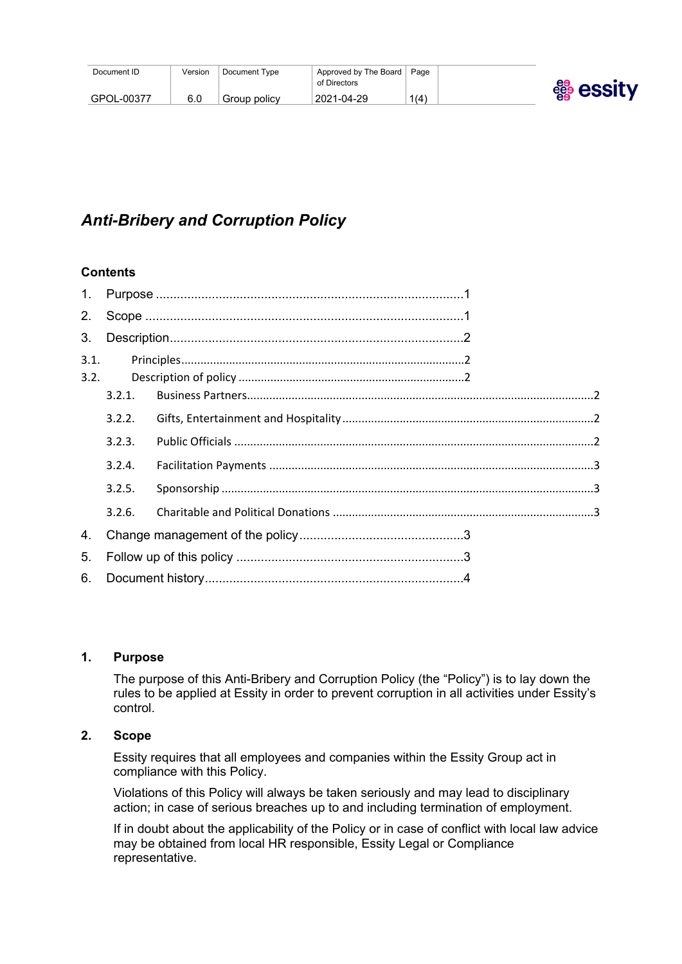| Document ID | Version | Document Type | Approved by The Board<br>of Directors | Page | egg essity |
|-------------|---------|---------------|---------------------------------------|------|------------|
| GPOL-00377  | 6.0     | Group policy  | 2021-04-29                            | 1(4) |            |

# *Anti-Bribery and Corruption Policy*

# **Contents**

| 1.   |        |  |  |
|------|--------|--|--|
| 2.   |        |  |  |
| 3.   |        |  |  |
| 3.1. |        |  |  |
| 3.2. |        |  |  |
|      | 3.2.1. |  |  |
|      | 3.2.2. |  |  |
|      | 3.2.3. |  |  |
|      | 3.2.4. |  |  |
|      | 3.2.5. |  |  |
|      | 3.2.6. |  |  |
| 4.   |        |  |  |
| 5.   |        |  |  |
| 6.   |        |  |  |

#### <span id="page-0-0"></span>**1. Purpose**

The purpose of this Anti-Bribery and Corruption Policy (the "Policy") is to lay down the rules to be applied at Essity in order to prevent corruption in all activities under Essity's control.

# <span id="page-0-1"></span>**2. Scope**

Essity requires that all employees and companies within the Essity Group act in compliance with this Policy.

Violations of this Policy will always be taken seriously and may lead to disciplinary action; in case of serious breaches up to and including termination of employment.

If in doubt about the applicability of the Policy or in case of conflict with local law advice may be obtained from local HR responsible, Essity Legal or Compliance representative.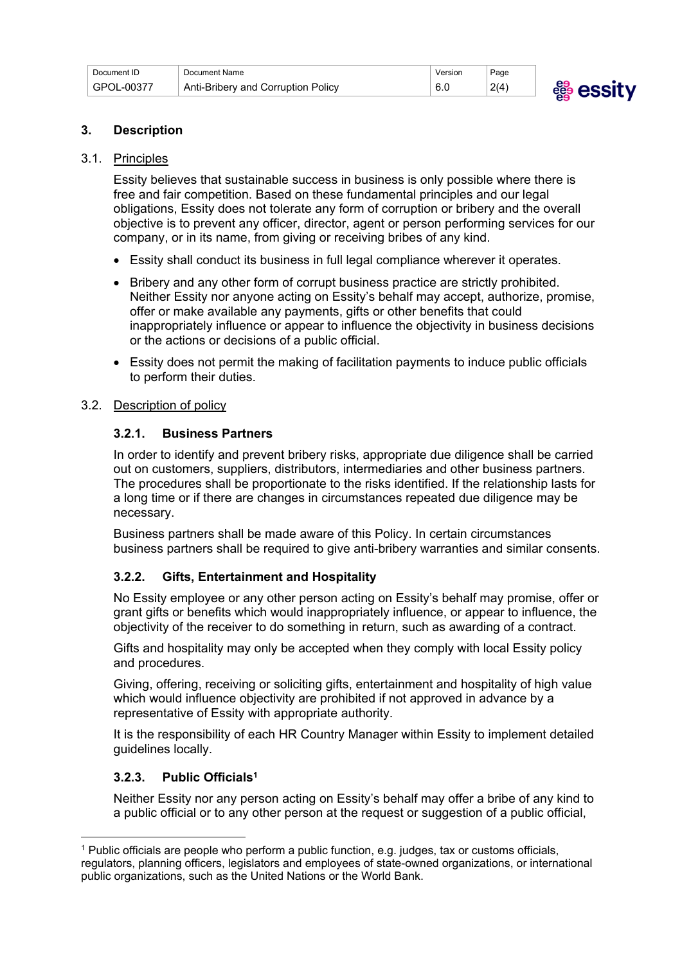| Document ID | Document Name                      | Version              | Page |               |
|-------------|------------------------------------|----------------------|------|---------------|
| GPOL-00377  | Anti-Bribery and Corruption Policy | $\sim$ $\sim$<br>b.u | 2(4) | essitv<br>ee. |
|             |                                    |                      |      |               |

#### <span id="page-1-0"></span>**3. Description**

#### <span id="page-1-1"></span>3.1. Principles

Essity believes that sustainable success in business is only possible where there is free and fair competition. Based on these fundamental principles and our legal obligations, Essity does not tolerate any form of corruption or bribery and the overall objective is to prevent any officer, director, agent or person performing services for our company, or in its name, from giving or receiving bribes of any kind.

- Essity shall conduct its business in full legal compliance wherever it operates.
- Bribery and any other form of corrupt business practice are strictly prohibited. Neither Essity nor anyone acting on Essity's behalf may accept, authorize, promise, offer or make available any payments, gifts or other benefits that could inappropriately influence or appear to influence the objectivity in business decisions or the actions or decisions of a public official.
- Essity does not permit the making of facilitation payments to induce public officials to perform their duties.

#### <span id="page-1-2"></span>3.2. Description of policy

#### <span id="page-1-3"></span>**3.2.1. Business Partners**

In order to identify and prevent bribery risks, appropriate due diligence shall be carried out on customers, suppliers, distributors, intermediaries and other business partners. The procedures shall be proportionate to the risks identified. If the relationship lasts for a long time or if there are changes in circumstances repeated due diligence may be necessary.

Business partners shall be made aware of this Policy. In certain circumstances business partners shall be required to give anti-bribery warranties and similar consents.

#### <span id="page-1-4"></span>**3.2.2. Gifts, Entertainment and Hospitality**

No Essity employee or any other person acting on Essity's behalf may promise, offer or grant gifts or benefits which would inappropriately influence, or appear to influence, the objectivity of the receiver to do something in return, such as awarding of a contract.

Gifts and hospitality may only be accepted when they comply with local Essity policy and procedures.

Giving, offering, receiving or soliciting gifts, entertainment and hospitality of high value which would influence objectivity are prohibited if not approved in advance by a representative of Essity with appropriate authority.

It is the responsibility of each HR Country Manager within Essity to implement detailed guidelines locally.

#### <span id="page-1-5"></span>**3.2.3. Public Officials<sup>1</sup>**

Neither Essity nor any person acting on Essity's behalf may offer a bribe of any kind to a public official or to any other person at the request or suggestion of a public official,

<sup>1</sup> Public officials are people who perform a public function, e.g. judges, tax or customs officials, regulators, planning officers, legislators and employees of state-owned organizations, or international public organizations, such as the United Nations or the World Bank.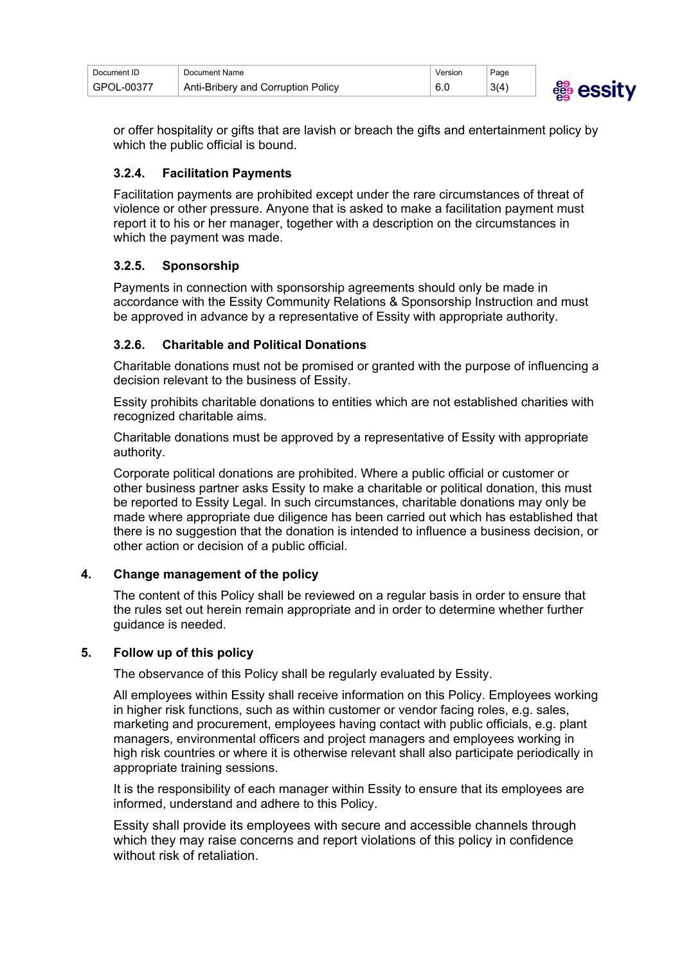| Document ID | Document Name                      | Version | Page |           |
|-------------|------------------------------------|---------|------|-----------|
| GPOL-00377  | Anti-Bribery and Corruption Policy | 6.0     | 3(4) | ee<br>eee |



or offer hospitality or gifts that are lavish or breach the gifts and entertainment policy by which the public official is bound.

# <span id="page-2-0"></span>**3.2.4. Facilitation Payments**

Facilitation payments are prohibited except under the rare circumstances of threat of violence or other pressure. Anyone that is asked to make a facilitation payment must report it to his or her manager, together with a description on the circumstances in which the payment was made.

## <span id="page-2-1"></span>**3.2.5. Sponsorship**

Payments in connection with sponsorship agreements should only be made in accordance with the Essity Community Relations & Sponsorship Instruction and must be approved in advance by a representative of Essity with appropriate authority.

## <span id="page-2-2"></span>**3.2.6. Charitable and Political Donations**

Charitable donations must not be promised or granted with the purpose of influencing a decision relevant to the business of Essity.

Essity prohibits charitable donations to entities which are not established charities with recognized charitable aims.

Charitable donations must be approved by a representative of Essity with appropriate authority.

Corporate political donations are prohibited. Where a public official or customer or other business partner asks Essity to make a charitable or political donation, this must be reported to Essity Legal. In such circumstances, charitable donations may only be made where appropriate due diligence has been carried out which has established that there is no suggestion that the donation is intended to influence a business decision, or other action or decision of a public official.

#### <span id="page-2-3"></span>**4. Change management of the policy**

The content of this Policy shall be reviewed on a regular basis in order to ensure that the rules set out herein remain appropriate and in order to determine whether further guidance is needed.

#### <span id="page-2-4"></span>**5. Follow up of this policy**

The observance of this Policy shall be regularly evaluated by Essity.

All employees within Essity shall receive information on this Policy. Employees working in higher risk functions, such as within customer or vendor facing roles, e.g. sales, marketing and procurement, employees having contact with public officials, e.g. plant managers, environmental officers and project managers and employees working in high risk countries or where it is otherwise relevant shall also participate periodically in appropriate training sessions.

It is the responsibility of each manager within Essity to ensure that its employees are informed, understand and adhere to this Policy.

Essity shall provide its employees with secure and accessible channels through which they may raise concerns and report violations of this policy in confidence without risk of retaliation